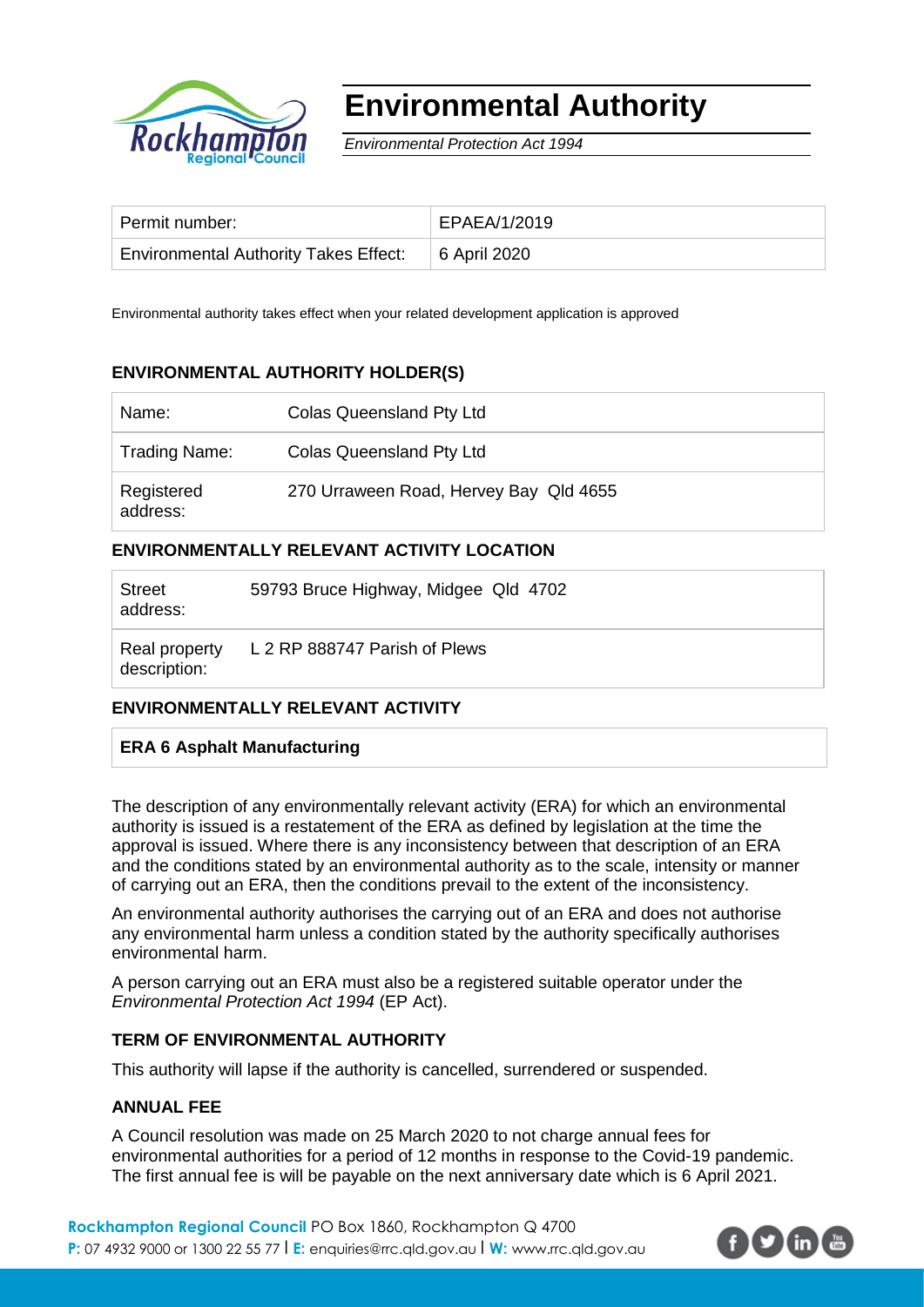

# **Environmental Authority**

*Environmental Protection Act 1994*

| Permit number:                                       | EPAEA/1/2019 |
|------------------------------------------------------|--------------|
| Environmental Authority Takes Effect:   6 April 2020 |              |

Environmental authority takes effect when your related development application is approved

# **ENVIRONMENTAL AUTHORITY HOLDER(S)**

| Name:                  | Colas Queensland Pty Ltd               |
|------------------------|----------------------------------------|
| Trading Name:          | <b>Colas Queensland Pty Ltd</b>        |
| Registered<br>address: | 270 Urraween Road, Hervey Bay Qld 4655 |

# **ENVIRONMENTALLY RELEVANT ACTIVITY LOCATION**

| <b>Street</b><br>address:     | 59793 Bruce Highway, Midgee Qld 4702 |
|-------------------------------|--------------------------------------|
| Real property<br>description: | L 2 RP 888747 Parish of Plews        |

# **ENVIRONMENTALLY RELEVANT ACTIVITY**

# **ERA 6 Asphalt Manufacturing**

The description of any environmentally relevant activity (ERA) for which an environmental authority is issued is a restatement of the ERA as defined by legislation at the time the approval is issued. Where there is any inconsistency between that description of an ERA and the conditions stated by an environmental authority as to the scale, intensity or manner of carrying out an ERA, then the conditions prevail to the extent of the inconsistency.

An environmental authority authorises the carrying out of an ERA and does not authorise any environmental harm unless a condition stated by the authority specifically authorises environmental harm.

A person carrying out an ERA must also be a registered suitable operator under the *Environmental Protection Act 1994* (EP Act).

#### **TERM OF ENVIRONMENTAL AUTHORITY**

This authority will lapse if the authority is cancelled, surrendered or suspended.

#### **ANNUAL FEE**

A Council resolution was made on 25 March 2020 to not charge annual fees for environmental authorities for a period of 12 months in response to the Covid-19 pandemic. The first annual fee is will be payable on the next anniversary date which is 6 April 2021.

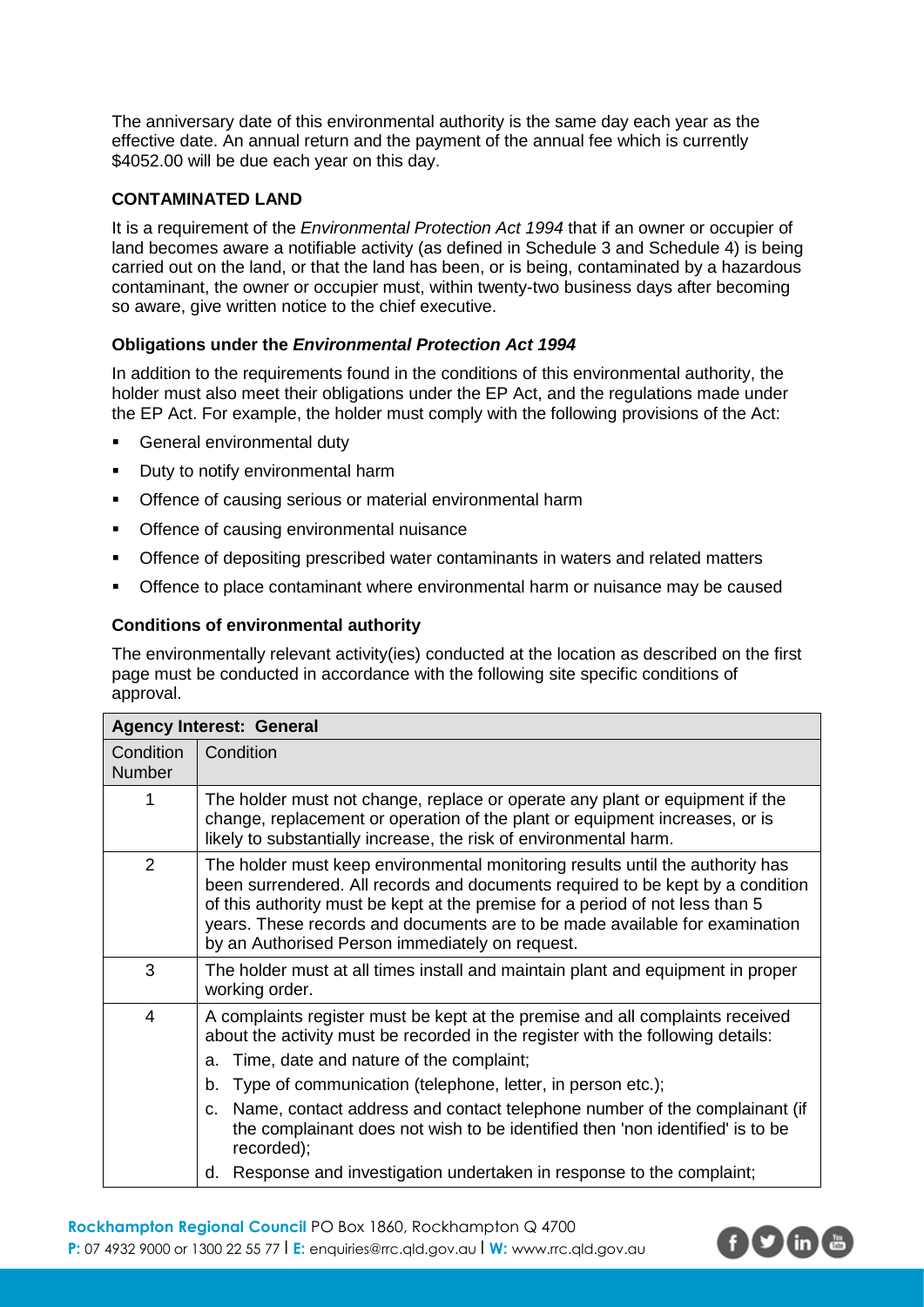The anniversary date of this environmental authority is the same day each year as the effective date. An annual return and the payment of the annual fee which is currently \$4052.00 will be due each year on this day.

## **CONTAMINATED LAND**

It is a requirement of the *Environmental Protection Act 1994* that if an owner or occupier of land becomes aware a notifiable activity (as defined in Schedule 3 and Schedule 4) is being carried out on the land, or that the land has been, or is being, contaminated by a hazardous contaminant, the owner or occupier must, within twenty-two business days after becoming so aware, give written notice to the chief executive.

## **Obligations under the** *Environmental Protection Act 1994*

In addition to the requirements found in the conditions of this environmental authority, the holder must also meet their obligations under the EP Act, and the regulations made under the EP Act. For example, the holder must comply with the following provisions of the Act:

- **General environmental duty**
- Duty to notify environmental harm
- Offence of causing serious or material environmental harm
- **Offence of causing environmental nuisance**
- **Offence of depositing prescribed water contaminants in waters and related matters**
- Offence to place contaminant where environmental harm or nuisance may be caused

## **Conditions of environmental authority**

The environmentally relevant activity(ies) conducted at the location as described on the first page must be conducted in accordance with the following site specific conditions of approval.

| <b>Agency Interest: General</b> |                                                                                                                                                                                                                                                                                                                                                                                                                                                                                                                                                   |  |
|---------------------------------|---------------------------------------------------------------------------------------------------------------------------------------------------------------------------------------------------------------------------------------------------------------------------------------------------------------------------------------------------------------------------------------------------------------------------------------------------------------------------------------------------------------------------------------------------|--|
| Condition<br>Number             | Condition                                                                                                                                                                                                                                                                                                                                                                                                                                                                                                                                         |  |
| 1                               | The holder must not change, replace or operate any plant or equipment if the<br>change, replacement or operation of the plant or equipment increases, or is<br>likely to substantially increase, the risk of environmental harm.                                                                                                                                                                                                                                                                                                                  |  |
| 2                               | The holder must keep environmental monitoring results until the authority has<br>been surrendered. All records and documents required to be kept by a condition<br>of this authority must be kept at the premise for a period of not less than 5<br>years. These records and documents are to be made available for examination<br>by an Authorised Person immediately on request.                                                                                                                                                                |  |
| 3                               | The holder must at all times install and maintain plant and equipment in proper<br>working order.                                                                                                                                                                                                                                                                                                                                                                                                                                                 |  |
| $\overline{4}$                  | A complaints register must be kept at the premise and all complaints received<br>about the activity must be recorded in the register with the following details:<br>Time, date and nature of the complaint;<br>a.<br>Type of communication (telephone, letter, in person etc.);<br>b.<br>Name, contact address and contact telephone number of the complainant (if<br>C.<br>the complainant does not wish to be identified then 'non identified' is to be<br>recorded);<br>d. Response and investigation undertaken in response to the complaint; |  |
|                                 |                                                                                                                                                                                                                                                                                                                                                                                                                                                                                                                                                   |  |

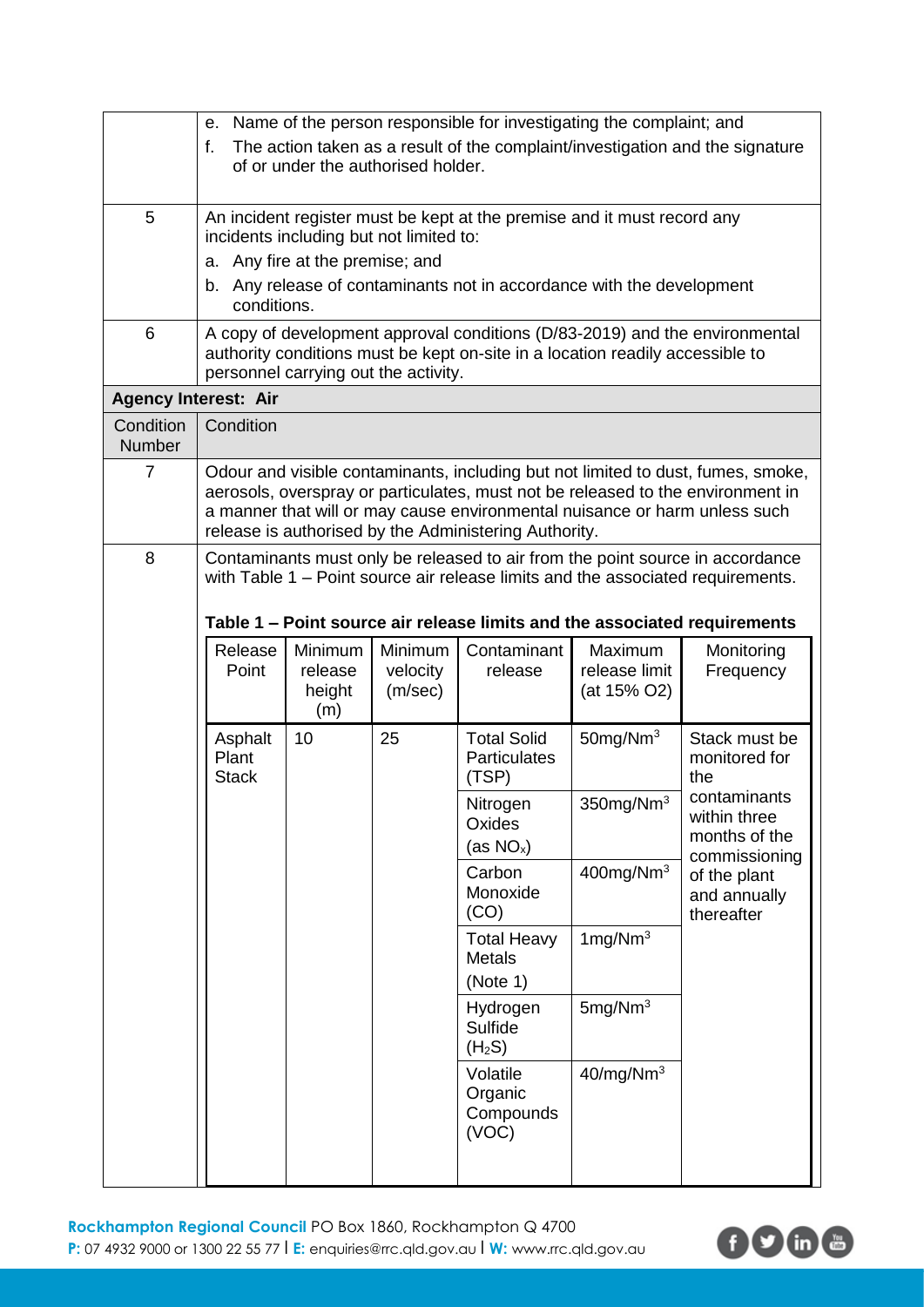|                            | е.                                                                                                                                                                                                   |                                     |                                         | Name of the person responsible for investigating the complaint; and                                                                 |                                                                |                                                                                                                                                                                                                                               |
|----------------------------|------------------------------------------------------------------------------------------------------------------------------------------------------------------------------------------------------|-------------------------------------|-----------------------------------------|-------------------------------------------------------------------------------------------------------------------------------------|----------------------------------------------------------------|-----------------------------------------------------------------------------------------------------------------------------------------------------------------------------------------------------------------------------------------------|
|                            | f.                                                                                                                                                                                                   |                                     | of or under the authorised holder.      |                                                                                                                                     |                                                                | The action taken as a result of the complaint/investigation and the signature                                                                                                                                                                 |
| 5                          |                                                                                                                                                                                                      |                                     | incidents including but not limited to: | An incident register must be kept at the premise and it must record any                                                             |                                                                |                                                                                                                                                                                                                                               |
|                            |                                                                                                                                                                                                      | a. Any fire at the premise; and     |                                         |                                                                                                                                     |                                                                |                                                                                                                                                                                                                                               |
|                            | conditions.                                                                                                                                                                                          |                                     |                                         | b. Any release of contaminants not in accordance with the development                                                               |                                                                |                                                                                                                                                                                                                                               |
| 6                          | A copy of development approval conditions (D/83-2019) and the environmental<br>authority conditions must be kept on-site in a location readily accessible to<br>personnel carrying out the activity. |                                     |                                         |                                                                                                                                     |                                                                |                                                                                                                                                                                                                                               |
|                            | <b>Agency Interest: Air</b>                                                                                                                                                                          |                                     |                                         |                                                                                                                                     |                                                                |                                                                                                                                                                                                                                               |
| Condition<br><b>Number</b> | Condition                                                                                                                                                                                            |                                     |                                         |                                                                                                                                     |                                                                |                                                                                                                                                                                                                                               |
| $\overline{7}$             |                                                                                                                                                                                                      |                                     |                                         | a manner that will or may cause environmental nuisance or harm unless such<br>release is authorised by the Administering Authority. |                                                                | Odour and visible contaminants, including but not limited to dust, fumes, smoke,<br>aerosols, overspray or particulates, must not be released to the environment in                                                                           |
| 8                          |                                                                                                                                                                                                      |                                     |                                         |                                                                                                                                     |                                                                | Contaminants must only be released to air from the point source in accordance<br>with Table 1 – Point source air release limits and the associated requirements.<br>Table 1 - Point source air release limits and the associated requirements |
|                            | Release<br>Point                                                                                                                                                                                     | Minimum<br>release<br>height<br>(m) | Minimum<br>velocity<br>(m/sec)          | Contaminant<br>release                                                                                                              | Maximum<br>release limit<br>(at 15% O2)                        | Monitoring<br>Frequency                                                                                                                                                                                                                       |
|                            | Asphalt<br>Plant<br><b>Stack</b>                                                                                                                                                                     | 10                                  | 25                                      | <b>Total Solid</b><br>Particulates<br>(TSP)                                                                                         | $50$ mg/Nm <sup>3</sup>                                        | Stack must be<br>monitored for<br>the                                                                                                                                                                                                         |
|                            |                                                                                                                                                                                                      |                                     | Nitrogen<br>Oxides<br>(as $NO_x$ )      | 350mg/Nm <sup>3</sup>                                                                                                               | contaminants<br>within three<br>months of the<br>commissioning |                                                                                                                                                                                                                                               |
|                            |                                                                                                                                                                                                      |                                     |                                         | Carbon<br>Monoxide<br>(CO)                                                                                                          | $400$ mg/Nm <sup>3</sup>                                       | of the plant<br>and annually<br>thereafter                                                                                                                                                                                                    |
|                            |                                                                                                                                                                                                      |                                     |                                         | <b>Total Heavy</b><br><b>Metals</b><br>(Note 1)                                                                                     | 1mg/Nm <sup>3</sup>                                            |                                                                                                                                                                                                                                               |
|                            |                                                                                                                                                                                                      |                                     |                                         | Hydrogen<br>Sulfide<br>(H <sub>2</sub> S)                                                                                           | 5mg/Nm <sup>3</sup>                                            |                                                                                                                                                                                                                                               |
|                            |                                                                                                                                                                                                      |                                     |                                         | Volatile<br>Organic<br>Compounds<br>(VOC)                                                                                           | 40/mg/Nm <sup>3</sup>                                          |                                                                                                                                                                                                                                               |
|                            |                                                                                                                                                                                                      |                                     |                                         |                                                                                                                                     |                                                                |                                                                                                                                                                                                                                               |

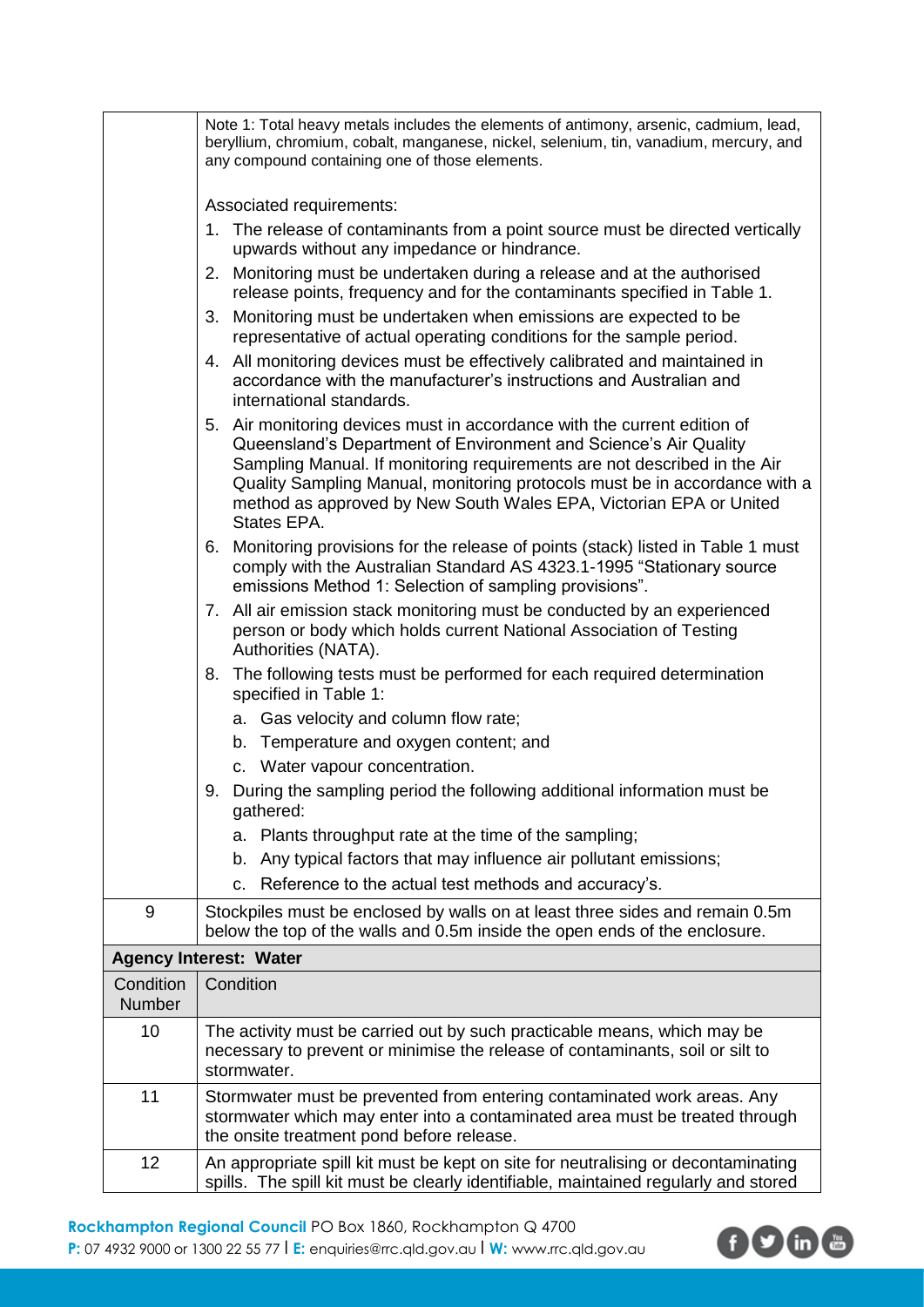|                            | Note 1: Total heavy metals includes the elements of antimony, arsenic, cadmium, lead,<br>beryllium, chromium, cobalt, manganese, nickel, selenium, tin, vanadium, mercury, and<br>any compound containing one of those elements.                                                                                                                                                            |  |  |  |
|----------------------------|---------------------------------------------------------------------------------------------------------------------------------------------------------------------------------------------------------------------------------------------------------------------------------------------------------------------------------------------------------------------------------------------|--|--|--|
|                            | Associated requirements:                                                                                                                                                                                                                                                                                                                                                                    |  |  |  |
|                            | 1. The release of contaminants from a point source must be directed vertically<br>upwards without any impedance or hindrance.                                                                                                                                                                                                                                                               |  |  |  |
|                            | Monitoring must be undertaken during a release and at the authorised<br>2.<br>release points, frequency and for the contaminants specified in Table 1.                                                                                                                                                                                                                                      |  |  |  |
|                            | Monitoring must be undertaken when emissions are expected to be<br>3.<br>representative of actual operating conditions for the sample period.                                                                                                                                                                                                                                               |  |  |  |
|                            | 4. All monitoring devices must be effectively calibrated and maintained in<br>accordance with the manufacturer's instructions and Australian and<br>international standards.                                                                                                                                                                                                                |  |  |  |
|                            | 5. Air monitoring devices must in accordance with the current edition of<br>Queensland's Department of Environment and Science's Air Quality<br>Sampling Manual. If monitoring requirements are not described in the Air<br>Quality Sampling Manual, monitoring protocols must be in accordance with a<br>method as approved by New South Wales EPA, Victorian EPA or United<br>States EPA. |  |  |  |
|                            | Monitoring provisions for the release of points (stack) listed in Table 1 must<br>6.<br>comply with the Australian Standard AS 4323.1-1995 "Stationary source<br>emissions Method 1: Selection of sampling provisions".                                                                                                                                                                     |  |  |  |
|                            | 7. All air emission stack monitoring must be conducted by an experienced<br>person or body which holds current National Association of Testing<br>Authorities (NATA).                                                                                                                                                                                                                       |  |  |  |
|                            | The following tests must be performed for each required determination<br>8.<br>specified in Table 1:                                                                                                                                                                                                                                                                                        |  |  |  |
|                            | a. Gas velocity and column flow rate;                                                                                                                                                                                                                                                                                                                                                       |  |  |  |
|                            | b. Temperature and oxygen content; and                                                                                                                                                                                                                                                                                                                                                      |  |  |  |
|                            | c. Water vapour concentration.                                                                                                                                                                                                                                                                                                                                                              |  |  |  |
|                            | 9. During the sampling period the following additional information must be<br>gathered:                                                                                                                                                                                                                                                                                                     |  |  |  |
|                            | Plants throughput rate at the time of the sampling;<br>а.                                                                                                                                                                                                                                                                                                                                   |  |  |  |
|                            | Any typical factors that may influence air pollutant emissions;<br>b.                                                                                                                                                                                                                                                                                                                       |  |  |  |
|                            | Reference to the actual test methods and accuracy's.<br>C.                                                                                                                                                                                                                                                                                                                                  |  |  |  |
| 9                          | Stockpiles must be enclosed by walls on at least three sides and remain 0.5m<br>below the top of the walls and 0.5m inside the open ends of the enclosure.                                                                                                                                                                                                                                  |  |  |  |
|                            | <b>Agency Interest: Water</b>                                                                                                                                                                                                                                                                                                                                                               |  |  |  |
| Condition<br><b>Number</b> | Condition                                                                                                                                                                                                                                                                                                                                                                                   |  |  |  |
| 10                         | The activity must be carried out by such practicable means, which may be<br>necessary to prevent or minimise the release of contaminants, soil or silt to<br>stormwater.                                                                                                                                                                                                                    |  |  |  |
| 11                         | Stormwater must be prevented from entering contaminated work areas. Any<br>stormwater which may enter into a contaminated area must be treated through<br>the onsite treatment pond before release.                                                                                                                                                                                         |  |  |  |
| 12                         | An appropriate spill kit must be kept on site for neutralising or decontaminating<br>spills. The spill kit must be clearly identifiable, maintained regularly and stored                                                                                                                                                                                                                    |  |  |  |

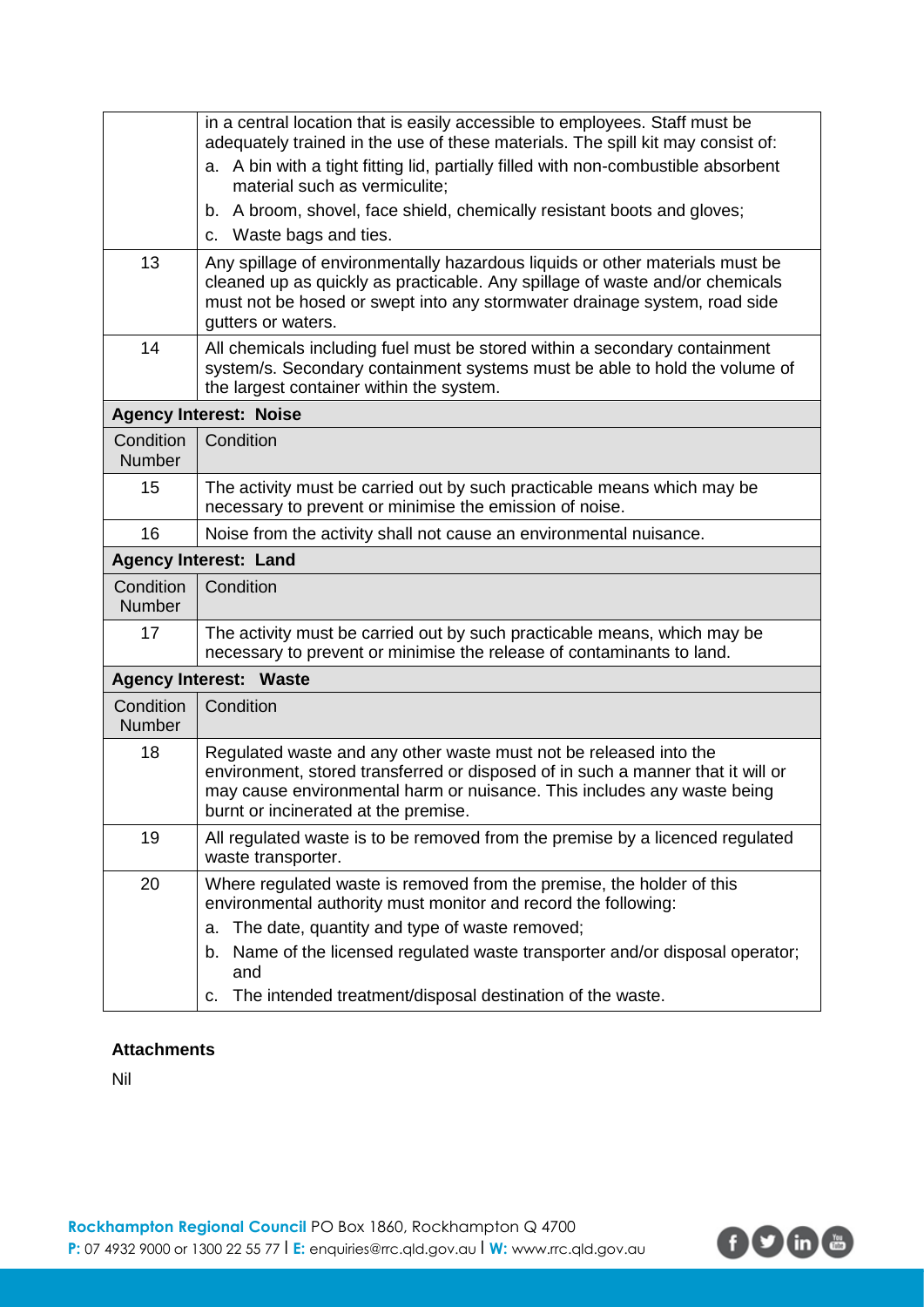|                            | in a central location that is easily accessible to employees. Staff must be<br>adequately trained in the use of these materials. The spill kit may consist of:                                                                                                          |
|----------------------------|-------------------------------------------------------------------------------------------------------------------------------------------------------------------------------------------------------------------------------------------------------------------------|
|                            | a. A bin with a tight fitting lid, partially filled with non-combustible absorbent<br>material such as vermiculite;                                                                                                                                                     |
|                            | b. A broom, shovel, face shield, chemically resistant boots and gloves;<br>c. Waste bags and ties.                                                                                                                                                                      |
| 13                         | Any spillage of environmentally hazardous liquids or other materials must be                                                                                                                                                                                            |
|                            | cleaned up as quickly as practicable. Any spillage of waste and/or chemicals<br>must not be hosed or swept into any stormwater drainage system, road side<br>gutters or waters.                                                                                         |
| 14                         | All chemicals including fuel must be stored within a secondary containment<br>system/s. Secondary containment systems must be able to hold the volume of<br>the largest container within the system.                                                                    |
|                            | <b>Agency Interest: Noise</b>                                                                                                                                                                                                                                           |
| Condition<br><b>Number</b> | Condition                                                                                                                                                                                                                                                               |
| 15                         | The activity must be carried out by such practicable means which may be<br>necessary to prevent or minimise the emission of noise.                                                                                                                                      |
| 16                         | Noise from the activity shall not cause an environmental nuisance.                                                                                                                                                                                                      |
|                            | <b>Agency Interest: Land</b>                                                                                                                                                                                                                                            |
| Condition<br>Number        | Condition                                                                                                                                                                                                                                                               |
| 17                         | The activity must be carried out by such practicable means, which may be<br>necessary to prevent or minimise the release of contaminants to land.                                                                                                                       |
|                            | <b>Agency Interest: Waste</b>                                                                                                                                                                                                                                           |
| Condition<br><b>Number</b> | Condition                                                                                                                                                                                                                                                               |
| 18                         | Regulated waste and any other waste must not be released into the<br>environment, stored transferred or disposed of in such a manner that it will or<br>may cause environmental harm or nuisance. This includes any waste being<br>burnt or incinerated at the premise. |
| 19                         | All regulated waste is to be removed from the premise by a licenced regulated<br>waste transporter.                                                                                                                                                                     |
| 20                         | Where regulated waste is removed from the premise, the holder of this<br>environmental authority must monitor and record the following:                                                                                                                                 |
|                            | The date, quantity and type of waste removed;<br>а.                                                                                                                                                                                                                     |
|                            | Name of the licensed regulated waste transporter and/or disposal operator;<br>b.<br>and                                                                                                                                                                                 |
|                            | The intended treatment/disposal destination of the waste.<br>С.                                                                                                                                                                                                         |

# **Attachments**

Nil